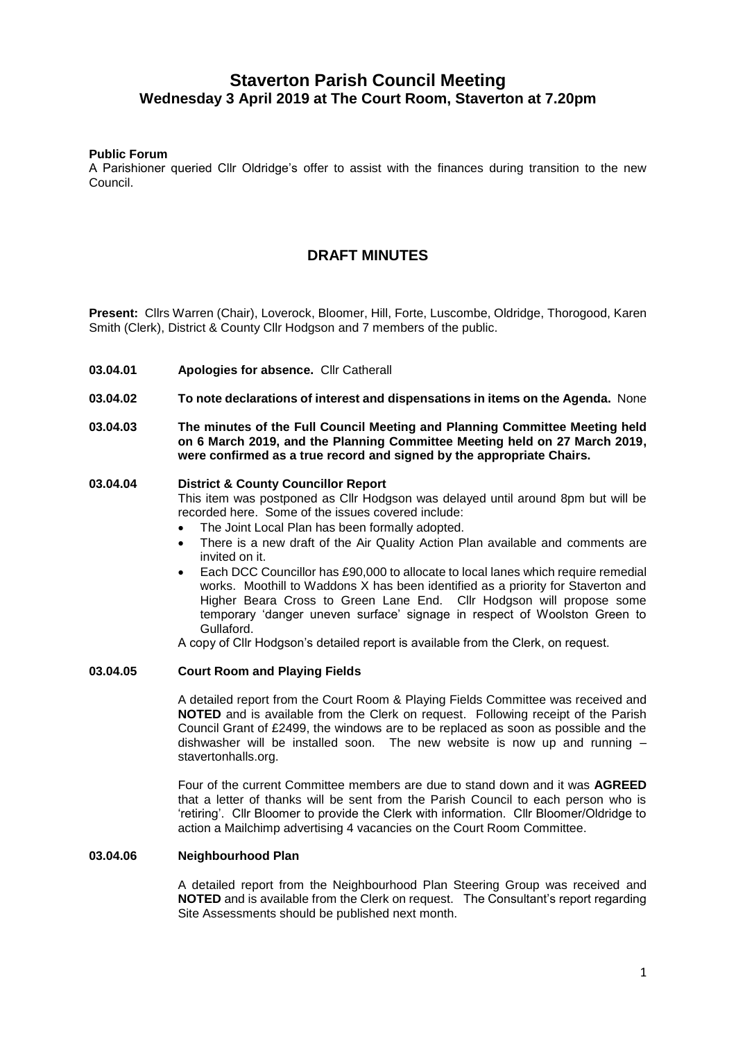# **Staverton Parish Council Meeting Wednesday 3 April 2019 at The Court Room, Staverton at 7.20pm**

# **Public Forum**

A Parishioner queried Cllr Oldridge's offer to assist with the finances during transition to the new Council.

# **DRAFT MINUTES**

**Present:** Cllrs Warren (Chair), Loverock, Bloomer, Hill, Forte, Luscombe, Oldridge, Thorogood, Karen Smith (Clerk), District & County Cllr Hodgson and 7 members of the public.

- **03.04.01 Apologies for absence.** Cllr Catherall
- **03.04.02 To note declarations of interest and dispensations in items on the Agenda.** None
- **03.04.03 The minutes of the Full Council Meeting and Planning Committee Meeting held on 6 March 2019, and the Planning Committee Meeting held on 27 March 2019, were confirmed as a true record and signed by the appropriate Chairs.**

#### **03.04.04 District & County Councillor Report**  This item was postponed as Cllr Hodgson was delayed until around 8pm but will be recorded here. Some of the issues covered include:

- The Joint Local Plan has been formally adopted.
- There is a new draft of the Air Quality Action Plan available and comments are invited on it.
- Each DCC Councillor has £90,000 to allocate to local lanes which require remedial works. Moothill to Waddons X has been identified as a priority for Staverton and Higher Beara Cross to Green Lane End. Cllr Hodgson will propose some temporary 'danger uneven surface' signage in respect of Woolston Green to Gullaford.

A copy of Cllr Hodgson's detailed report is available from the Clerk, on request.

# **03.04.05 Court Room and Playing Fields**

A detailed report from the Court Room & Playing Fields Committee was received and **NOTED** and is available from the Clerk on request. Following receipt of the Parish Council Grant of £2499, the windows are to be replaced as soon as possible and the dishwasher will be installed soon. The new website is now up and running – stavertonhalls.org.

Four of the current Committee members are due to stand down and it was **AGREED**  that a letter of thanks will be sent from the Parish Council to each person who is 'retiring'. Cllr Bloomer to provide the Clerk with information. Cllr Bloomer/Oldridge to action a Mailchimp advertising 4 vacancies on the Court Room Committee.

#### **03.04.06 Neighbourhood Plan**

A detailed report from the Neighbourhood Plan Steering Group was received and **NOTED** and is available from the Clerk on request. The Consultant's report regarding Site Assessments should be published next month.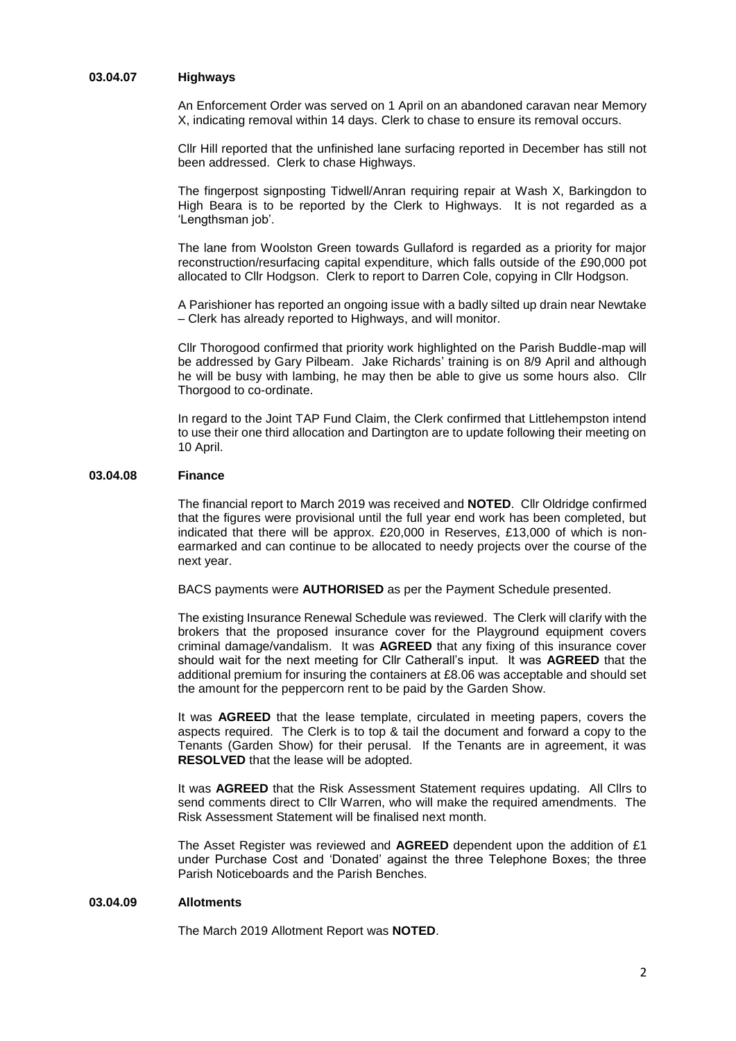# **03.04.07 Highways**

An Enforcement Order was served on 1 April on an abandoned caravan near Memory X, indicating removal within 14 days. Clerk to chase to ensure its removal occurs.

Cllr Hill reported that the unfinished lane surfacing reported in December has still not been addressed. Clerk to chase Highways.

The fingerpost signposting Tidwell/Anran requiring repair at Wash X, Barkingdon to High Beara is to be reported by the Clerk to Highways. It is not regarded as a 'Lengthsman job'.

The lane from Woolston Green towards Gullaford is regarded as a priority for major reconstruction/resurfacing capital expenditure, which falls outside of the £90,000 pot allocated to Cllr Hodgson. Clerk to report to Darren Cole, copying in Cllr Hodgson.

A Parishioner has reported an ongoing issue with a badly silted up drain near Newtake – Clerk has already reported to Highways, and will monitor.

Cllr Thorogood confirmed that priority work highlighted on the Parish Buddle-map will be addressed by Gary Pilbeam. Jake Richards' training is on 8/9 April and although he will be busy with lambing, he may then be able to give us some hours also. Cllr Thorgood to co-ordinate.

In regard to the Joint TAP Fund Claim, the Clerk confirmed that Littlehempston intend to use their one third allocation and Dartington are to update following their meeting on 10 April.

#### **03.04.08 Finance**

The financial report to March 2019 was received and **NOTED**. Cllr Oldridge confirmed that the figures were provisional until the full year end work has been completed, but indicated that there will be approx. £20,000 in Reserves, £13,000 of which is nonearmarked and can continue to be allocated to needy projects over the course of the next year.

BACS payments were **AUTHORISED** as per the Payment Schedule presented.

The existing Insurance Renewal Schedule was reviewed. The Clerk will clarify with the brokers that the proposed insurance cover for the Playground equipment covers criminal damage/vandalism. It was **AGREED** that any fixing of this insurance cover should wait for the next meeting for Cllr Catherall's input. It was **AGREED** that the additional premium for insuring the containers at £8.06 was acceptable and should set the amount for the peppercorn rent to be paid by the Garden Show.

It was **AGREED** that the lease template, circulated in meeting papers, covers the aspects required. The Clerk is to top & tail the document and forward a copy to the Tenants (Garden Show) for their perusal. If the Tenants are in agreement, it was **RESOLVED** that the lease will be adopted.

It was **AGREED** that the Risk Assessment Statement requires updating. All Cllrs to send comments direct to Cllr Warren, who will make the required amendments. The Risk Assessment Statement will be finalised next month.

The Asset Register was reviewed and **AGREED** dependent upon the addition of £1 under Purchase Cost and 'Donated' against the three Telephone Boxes; the three Parish Noticeboards and the Parish Benches.

#### **03.04.09 Allotments**

The March 2019 Allotment Report was **NOTED**.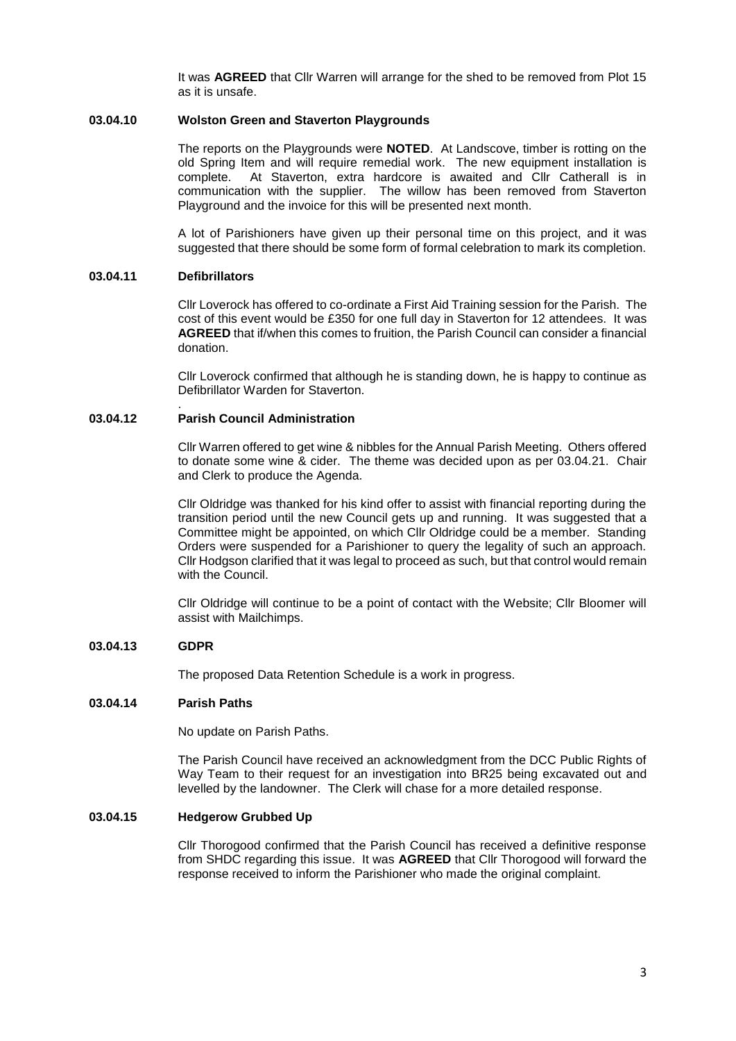It was **AGREED** that Cllr Warren will arrange for the shed to be removed from Plot 15 as it is unsafe.

# **03.04.10 Wolston Green and Staverton Playgrounds**

The reports on the Playgrounds were **NOTED**. At Landscove, timber is rotting on the old Spring Item and will require remedial work. The new equipment installation is complete. At Staverton, extra hardcore is awaited and Cllr Catherall is in communication with the supplier. The willow has been removed from Staverton Playground and the invoice for this will be presented next month.

A lot of Parishioners have given up their personal time on this project, and it was suggested that there should be some form of formal celebration to mark its completion.

### **03.04.11 Defibrillators**

Cllr Loverock has offered to co-ordinate a First Aid Training session for the Parish. The cost of this event would be £350 for one full day in Staverton for 12 attendees. It was **AGREED** that if/when this comes to fruition, the Parish Council can consider a financial donation.

Cllr Loverock confirmed that although he is standing down, he is happy to continue as Defibrillator Warden for Staverton.

#### . **03.04.12 Parish Council Administration**

Cllr Warren offered to get wine & nibbles for the Annual Parish Meeting. Others offered to donate some wine & cider. The theme was decided upon as per 03.04.21. Chair and Clerk to produce the Agenda.

Cllr Oldridge was thanked for his kind offer to assist with financial reporting during the transition period until the new Council gets up and running. It was suggested that a Committee might be appointed, on which Cllr Oldridge could be a member. Standing Orders were suspended for a Parishioner to query the legality of such an approach. Cllr Hodgson clarified that it was legal to proceed as such, but that control would remain with the Council.

Cllr Oldridge will continue to be a point of contact with the Website; Cllr Bloomer will assist with Mailchimps.

### **03.04.13 GDPR**

The proposed Data Retention Schedule is a work in progress.

### **03.04.14 Parish Paths**

No update on Parish Paths.

The Parish Council have received an acknowledgment from the DCC Public Rights of Way Team to their request for an investigation into BR25 being excavated out and levelled by the landowner. The Clerk will chase for a more detailed response.

### **03.04.15 Hedgerow Grubbed Up**

Cllr Thorogood confirmed that the Parish Council has received a definitive response from SHDC regarding this issue. It was **AGREED** that Cllr Thorogood will forward the response received to inform the Parishioner who made the original complaint.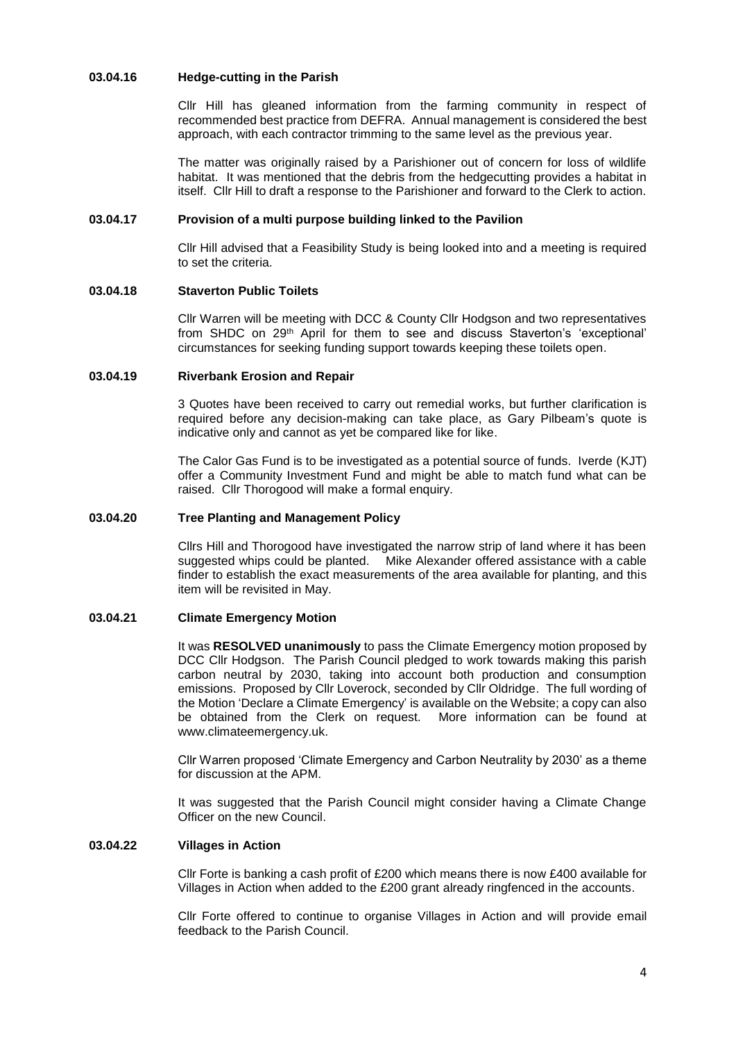# **03.04.16 Hedge-cutting in the Parish**

Cllr Hill has gleaned information from the farming community in respect of recommended best practice from DEFRA. Annual management is considered the best approach, with each contractor trimming to the same level as the previous year.

The matter was originally raised by a Parishioner out of concern for loss of wildlife habitat. It was mentioned that the debris from the hedgecutting provides a habitat in itself. Cllr Hill to draft a response to the Parishioner and forward to the Clerk to action.

#### **03.04.17 Provision of a multi purpose building linked to the Pavilion**

Cllr Hill advised that a Feasibility Study is being looked into and a meeting is required to set the criteria.

# **03.04.18 Staverton Public Toilets**

Cllr Warren will be meeting with DCC & County Cllr Hodgson and two representatives from SHDC on 29th April for them to see and discuss Staverton's 'exceptional' circumstances for seeking funding support towards keeping these toilets open.

#### **03.04.19 Riverbank Erosion and Repair**

3 Quotes have been received to carry out remedial works, but further clarification is required before any decision-making can take place, as Gary Pilbeam's quote is indicative only and cannot as yet be compared like for like.

The Calor Gas Fund is to be investigated as a potential source of funds. Iverde (KJT) offer a Community Investment Fund and might be able to match fund what can be raised. Cllr Thorogood will make a formal enquiry.

#### **03.04.20 Tree Planting and Management Policy**

Cllrs Hill and Thorogood have investigated the narrow strip of land where it has been suggested whips could be planted. Mike Alexander offered assistance with a cable finder to establish the exact measurements of the area available for planting, and this item will be revisited in May.

### **03.04.21 Climate Emergency Motion**

It was **RESOLVED unanimously** to pass the Climate Emergency motion proposed by DCC Cllr Hodgson. The Parish Council pledged to work towards making this parish carbon neutral by 2030, taking into account both production and consumption emissions. Proposed by Cllr Loverock, seconded by Cllr Oldridge. The full wording of the Motion 'Declare a Climate Emergency' is available on the Website; a copy can also be obtained from the Clerk on request. More information can be found at www.climateemergency.uk.

Cllr Warren proposed 'Climate Emergency and Carbon Neutrality by 2030' as a theme for discussion at the APM.

It was suggested that the Parish Council might consider having a Climate Change Officer on the new Council.

# **03.04.22 Villages in Action**

Cllr Forte is banking a cash profit of £200 which means there is now £400 available for Villages in Action when added to the £200 grant already ringfenced in the accounts.

Cllr Forte offered to continue to organise Villages in Action and will provide email feedback to the Parish Council.